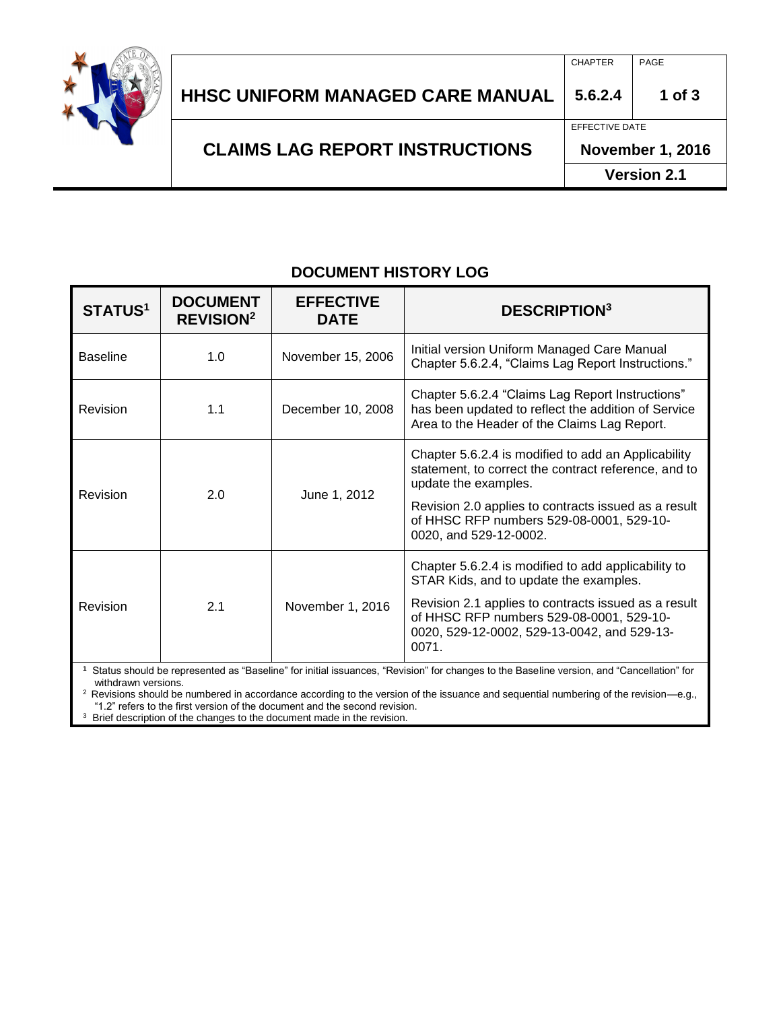

|                                       | <b>Version 2.1</b>      |          |
|---------------------------------------|-------------------------|----------|
| <b>CLAIMS LAG REPORT INSTRUCTIONS</b> | <b>November 1, 2016</b> |          |
|                                       | EFFECTIVE DATE          |          |
| HHSC UNIFORM MANAGED CARE MANUAL      | 5.6.2.4                 | 1 of $3$ |
|                                       | <b>CHAPTER</b>          | PAGE     |
|                                       |                         |          |

## **DOCUMENT HISTORY LOG**

| <b>STATUS1</b>                                                                                                                                     | <b>DOCUMENT</b><br><b>REVISION<sup>2</sup></b> | <b>EFFECTIVE</b><br><b>DATE</b> | <b>DESCRIPTION3</b>                                                                                                                                      |  |
|----------------------------------------------------------------------------------------------------------------------------------------------------|------------------------------------------------|---------------------------------|----------------------------------------------------------------------------------------------------------------------------------------------------------|--|
| <b>Baseline</b>                                                                                                                                    | 1.0                                            | November 15, 2006               | Initial version Uniform Managed Care Manual<br>Chapter 5.6.2.4, "Claims Lag Report Instructions."                                                        |  |
| Revision                                                                                                                                           | 1.1                                            | December 10, 2008               | Chapter 5.6.2.4 "Claims Lag Report Instructions"<br>has been updated to reflect the addition of Service<br>Area to the Header of the Claims Lag Report.  |  |
| 2.0<br>Revision                                                                                                                                    |                                                | June 1, 2012                    | Chapter 5.6.2.4 is modified to add an Applicability<br>statement, to correct the contract reference, and to<br>update the examples.                      |  |
|                                                                                                                                                    |                                                |                                 | Revision 2.0 applies to contracts issued as a result<br>of HHSC RFP numbers 529-08-0001, 529-10-<br>0020, and 529-12-0002.                               |  |
| Revision                                                                                                                                           | 2.1                                            | November 1, 2016                | Chapter 5.6.2.4 is modified to add applicability to<br>STAR Kids, and to update the examples.                                                            |  |
|                                                                                                                                                    |                                                |                                 | Revision 2.1 applies to contracts issued as a result<br>of HHSC RFP numbers 529-08-0001, 529-10-<br>0020, 529-12-0002, 529-13-0042, and 529-13-<br>0071. |  |
| 1. Otatus alexulal les propresentad de "Desalina" for initial incurrence<br>"Devision" for chommes to the Deseline version, and "Oches Hetish" for |                                                |                                 |                                                                                                                                                          |  |

**1** Status should be represented as "Baseline" for initial issuances, "Revision" for changes to the Baseline version, and "Cancellation" for withdrawn versions.

<sup>2</sup> Revisions should be numbered in accordance according to the version of the issuance and sequential numbering of the revision—e.g., "1.2" refers to the first version of the document and the second revision.

<sup>3</sup> Brief description of the changes to the document made in the revision.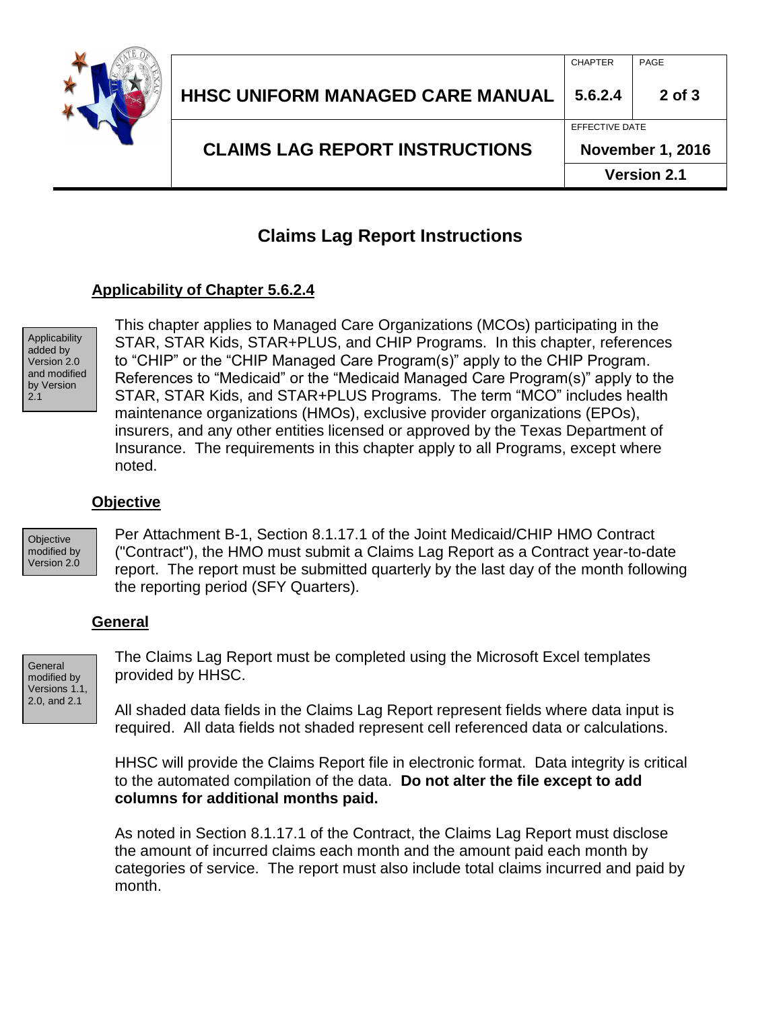

# **Claims Lag Report Instructions**

## **Applicability of Chapter 5.6.2.4**

Applicability added by Version 2.0 and modified by Version 2.1

This chapter applies to Managed Care Organizations (MCOs) participating in the STAR, STAR Kids, STAR+PLUS, and CHIP Programs. In this chapter, references to "CHIP" or the "CHIP Managed Care Program(s)" apply to the CHIP Program. References to "Medicaid" or the "Medicaid Managed Care Program(s)" apply to the STAR, STAR Kids, and STAR+PLUS Programs. The term "MCO" includes health maintenance organizations (HMOs), exclusive provider organizations (EPOs), insurers, and any other entities licensed or approved by the Texas Department of Insurance. The requirements in this chapter apply to all Programs, except where noted.

#### **Objective**

**Objective** modified by Version 2.0 Per Attachment B-1, Section 8.1.17.1 of the Joint Medicaid/CHIP HMO Contract ("Contract"), the HMO must submit a Claims Lag Report as a Contract year-to-date report. The report must be submitted quarterly by the last day of the month following the reporting period (SFY Quarters).

#### **General**

**General** modified by Versions 1.1, 2.0, and 2.1

The Claims Lag Report must be completed using the Microsoft Excel templates provided by HHSC.

All shaded data fields in the Claims Lag Report represent fields where data input is required. All data fields not shaded represent cell referenced data or calculations.

HHSC will provide the Claims Report file in electronic format. Data integrity is critical to the automated compilation of the data. **Do not alter the file except to add columns for additional months paid.**

As noted in Section 8.1.17.1 of the Contract, the Claims Lag Report must disclose the amount of incurred claims each month and the amount paid each month by categories of service. The report must also include total claims incurred and paid by month.